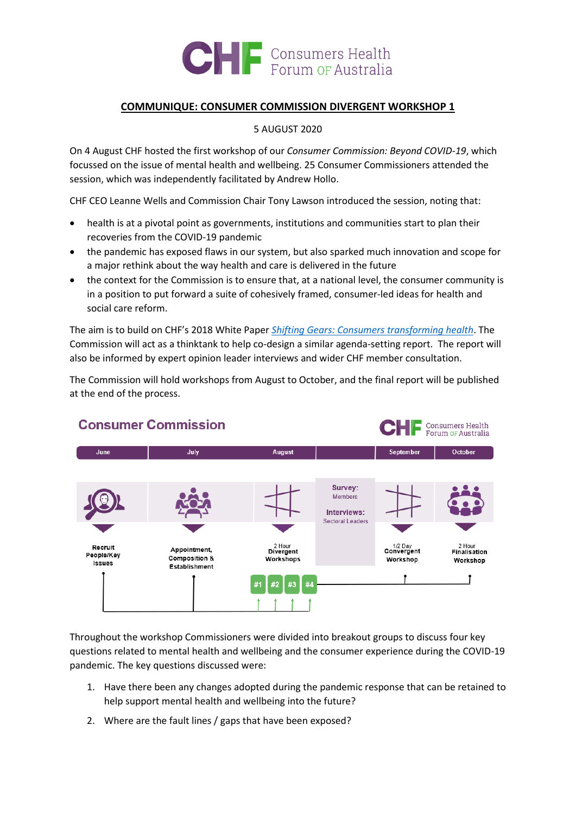

## **COMMUNIQUE: CONSUMER COMMISSION DIVERGENT WORKSHOP 1**

5 AUGUST 2020

On 4 August CHF hosted the first workshop of our *Consumer Commission: Beyond COVID-19*, which focussed on the issue of mental health and wellbeing. 25 Consumer Commissioners attended the session, which was independently facilitated by Andrew Hollo.

CHF CEO Leanne Wells and Commission Chair Tony Lawson introduced the session, noting that:

- health is at a pivotal point as governments, institutions and communities start to plan their recoveries from the COVID-19 pandemic
- the pandemic has exposed flaws in our system, but also sparked much innovation and scope for a major rethink about the way health and care is delivered in the future
- the context for the Commission is to ensure that, at a national level, the consumer community is in a position to put forward a suite of cohesively framed, consumer-led ideas for health and social care reform.

The aim is to build on CHF's 2018 White Paper *[Shifting Gears: Consumers transforming health](https://chf.org.au/sites/default/files/181125_shifting_gears_-_consumers_transforming_health.pdf)*. The Commission will act as a thinktank to help co-design a similar agenda-setting report. The report will also be informed by expert opinion leader interviews and wider CHF member consultation.

The Commission will hold workshops from August to October, and the final report will be published at the end of the process.



Throughout the workshop Commissioners were divided into breakout groups to discuss four key questions related to mental health and wellbeing and the consumer experience during the COVID-19 pandemic. The key questions discussed were:

- 1. Have there been any changes adopted during the pandemic response that can be retained to help support mental health and wellbeing into the future?
- 2. Where are the fault lines / gaps that have been exposed?